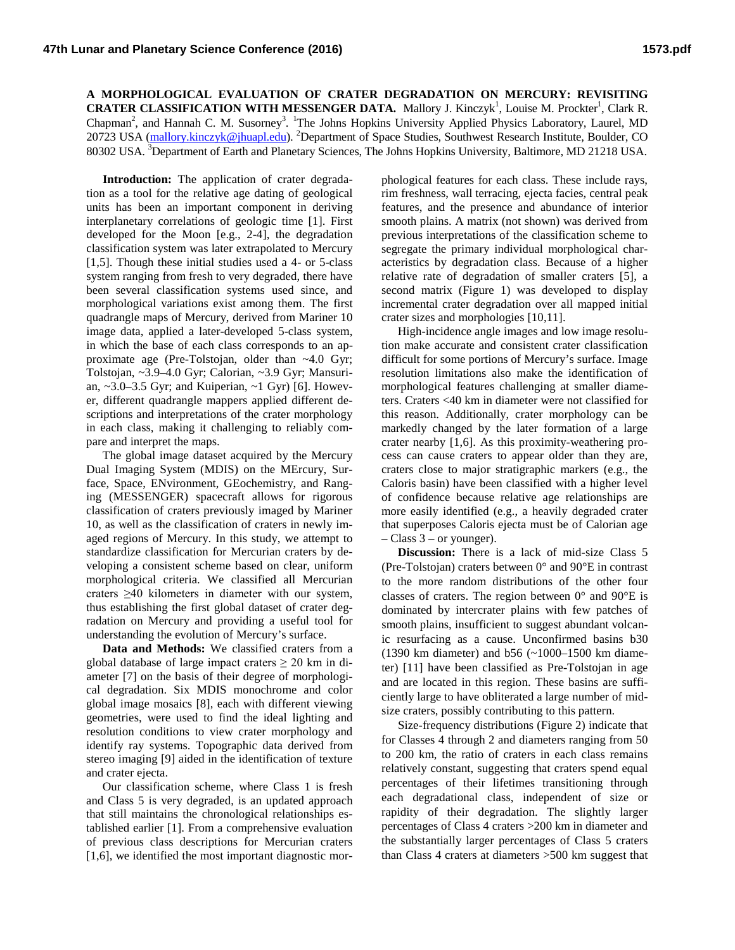**A MORPHOLOGICAL EVALUATION OF CRATER DEGRADATION ON MERCURY: REVISITING CRATER CLASSIFICATION WITH MESSENGER DATA.** Mallory J. Kinczyk<sup>1</sup>, Louise M. Prockter<sup>1</sup>, Clark R. Chapman<sup>2</sup>, and Hannah C. M. Susorney<sup>3</sup>. <sup>1</sup>The Johns Hopkins University Applied Physics Laboratory, Laurel, MD 20723 USA [\(mallory.kinczyk@jhuapl.edu\)](mailto:mallory.kinczyk@jhuapl.edu). <sup>2</sup>Department of Space Studies, Southwest Research Institute, Boulder, CO 80302 USA. <sup>3</sup>Department of Earth and Planetary Sciences, The Johns Hopkins University, Baltimore, MD 21218 USA.

**Introduction:** The application of crater degradation as a tool for the relative age dating of geological units has been an important component in deriving interplanetary correlations of geologic time [1]. First developed for the Moon [e.g., 2-4], the degradation classification system was later extrapolated to Mercury [1,5]. Though these initial studies used a 4- or 5-class system ranging from fresh to very degraded, there have been several classification systems used since, and morphological variations exist among them. The first quadrangle maps of Mercury, derived from Mariner 10 image data, applied a later-developed 5-class system, in which the base of each class corresponds to an approximate age (Pre-Tolstojan, older than ~4.0 Gyr; Tolstojan, ~3.9–4.0 Gyr; Calorian, ~3.9 Gyr; Mansurian, ~3.0–3.5 Gyr; and Kuiperian, ~1 Gyr) [6]. However, different quadrangle mappers applied different descriptions and interpretations of the crater morphology in each class, making it challenging to reliably compare and interpret the maps.

The global image dataset acquired by the Mercury Dual Imaging System (MDIS) on the MErcury, Surface, Space, ENvironment, GEochemistry, and Ranging (MESSENGER) spacecraft allows for rigorous classification of craters previously imaged by Mariner 10, as well as the classification of craters in newly imaged regions of Mercury. In this study, we attempt to standardize classification for Mercurian craters by developing a consistent scheme based on clear, uniform morphological criteria. We classified all Mercurian craters ≥40 kilometers in diameter with our system, thus establishing the first global dataset of crater degradation on Mercury and providing a useful tool for understanding the evolution of Mercury's surface.

**Data and Methods:** We classified craters from a global database of large impact craters  $\geq 20$  km in diameter [7] on the basis of their degree of morphological degradation. Six MDIS monochrome and color global image mosaics [8], each with different viewing geometries, were used to find the ideal lighting and resolution conditions to view crater morphology and identify ray systems. Topographic data derived from stereo imaging [9] aided in the identification of texture and crater ejecta.

Our classification scheme, where Class 1 is fresh and Class 5 is very degraded, is an updated approach that still maintains the chronological relationships established earlier [1]. From a comprehensive evaluation of previous class descriptions for Mercurian craters [1,6], we identified the most important diagnostic morphological features for each class. These include rays, rim freshness, wall terracing, ejecta facies, central peak features, and the presence and abundance of interior smooth plains. A matrix (not shown) was derived from previous interpretations of the classification scheme to segregate the primary individual morphological characteristics by degradation class. Because of a higher relative rate of degradation of smaller craters [5], a second matrix (Figure 1) was developed to display incremental crater degradation over all mapped initial crater sizes and morphologies [10,11].

High-incidence angle images and low image resolution make accurate and consistent crater classification difficult for some portions of Mercury's surface. Image resolution limitations also make the identification of morphological features challenging at smaller diameters. Craters <40 km in diameter were not classified for this reason. Additionally, crater morphology can be markedly changed by the later formation of a large crater nearby [1,6]. As this proximity-weathering process can cause craters to appear older than they are, craters close to major stratigraphic markers (e.g., the Caloris basin) have been classified with a higher level of confidence because relative age relationships are more easily identified (e.g., a heavily degraded crater that superposes Caloris ejecta must be of Calorian age  $-$  Class 3 – or younger).

**Discussion:** There is a lack of mid-size Class 5 (Pre-Tolstojan) craters between 0° and 90°E in contrast to the more random distributions of the other four classes of craters. The region between 0° and 90°E is dominated by intercrater plains with few patches of smooth plains, insufficient to suggest abundant volcanic resurfacing as a cause. Unconfirmed basins b30 (1390 km diameter) and b56 (~1000–1500 km diameter) [11] have been classified as Pre-Tolstojan in age and are located in this region. These basins are sufficiently large to have obliterated a large number of midsize craters, possibly contributing to this pattern.

Size-frequency distributions (Figure 2) indicate that for Classes 4 through 2 and diameters ranging from 50 to 200 km, the ratio of craters in each class remains relatively constant, suggesting that craters spend equal percentages of their lifetimes transitioning through each degradational class, independent of size or rapidity of their degradation. The slightly larger percentages of Class 4 craters >200 km in diameter and the substantially larger percentages of Class 5 craters than Class 4 craters at diameters >500 km suggest that